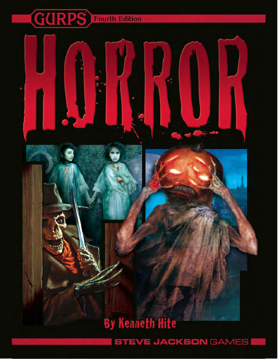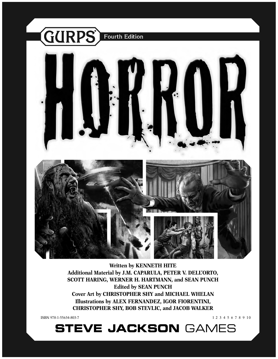

**Written by KENNETH HITE Additional Material by J.M. CAPARULA, PETER V. DELL'ORTO, SCOTT HARING, WERNER H. HARTMANN, and SEAN PUNCH Edited by SEAN PUNCH Cover Art by CHRISTOPHER SHY and MICHAEL WHELAN Illustrations by ALEX FERNANDEZ, IGOR FIORENTINI, CHRISTOPHER SHY, BOB STEVLIC, and JACOB WALKER**

ISBN 978-1-55634-803-7 1 2 3 4 5 6 7 8 9 10

## **STEVE JACKSON** GAMES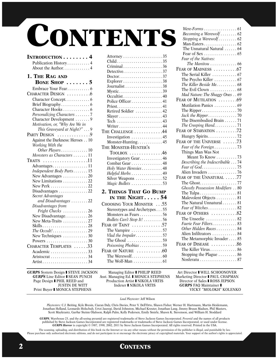## CONTENTS

#### **INTRODUCTION . . . . . . . . 4**

| Publication History 4 |  |
|-----------------------|--|
| About the Author4     |  |

#### **1. THE RAG AND BONE SHOP . . . . . . . 5**

| Embrace Your Fear 6                      |
|------------------------------------------|
| CHARACTER DESIGN 6                       |
| Character Concept. 6                     |
| Brief Biography 6                        |
| Character Hooks  6                       |
| Personalizing Characters 7               |
| Character Development  9                 |
| Motivation, or, "Why Are We in           |
| This Graveyard at Night?" 9              |
| PARTY DESIGN<br>. 9                      |
| Against the Darkness: Heroes 10          |
| Working With the                         |
| Other Players10                          |
| Monsters as Characters  11               |
| . 11<br>Traits                           |
| Advantages11                             |
| Independent Body Parts15                 |
| New Advantages $\dots\dots\dots\dots$ 20 |
| New Limitations 22                       |
| New Perk 22                              |
| Disadvantages 22                         |
| Secret Advantages                        |
| and Disadvantages 22                     |
| Disadvantages from                       |
| Fright Checks 26                         |
| New Disadvantage26                       |
| New Meta-Traits 27                       |
|                                          |
|                                          |
| New Techniques 30                        |
| Powers                                   |
| CHARACTER TEMPLATES 33                   |
| Academic33                               |
| Aristocrat 34                            |
|                                          |
|                                          |

| Criminal36                                 |
|--------------------------------------------|
| Detective37                                |
|                                            |
|                                            |
| Journalist 38                              |
| Mystic39                                   |
| Occultist40                                |
| Police Officer 41                          |
|                                            |
| Retired Soldier  42                        |
|                                            |
| Tech 43                                    |
|                                            |
| THE CHALLENGE 44                           |
| Investigation  45                          |
| Monster-Hunting45                          |
| THE MONSTER-HUNTER'S                       |
| $T$ OOLBOX 46                              |
| Investigatory Gear 46                      |
|                                            |
| Combat Gear  48<br>Holy Water Heresies  48 |
| Helpful Herbs 49                           |
| Silver Weapons 52                          |
| Magic Bullets 53                           |
|                                            |
| 2. THINGS THAT GO BUMP                     |
| IN THE NIGHT $54$                          |
| CHOOSING YOUR MONSTER  55                  |
| Stereotypes and Archetypes55               |
| Monsters as Fears  56                      |
| Bullets Can't Stop It!  56                 |
| FEAR OF TAINT 57                           |
| The Vampire 57                             |

| Stopping a Werewolf 62          |
|---------------------------------|
| Man-Eaters62                    |
| The Unnatural Natural  64       |
|                                 |
| Fear of the Natives:            |
| The Manitou 66                  |
| FEAR OF MADNESS 67              |
| The Serial Killer  67           |
| The Psycho Killer  67           |
| The Killer Beside Me 68         |
| The Evil Clown  68              |
| Mad Nature: The Shaggy Ones 69  |
| FEAR OF MUTILATION 69           |
| Mutilation Panics  69           |
| The Ripper70                    |
| Jack the Ripper70               |
| The Disembodied Brain 71        |
| The Creeping Hand71             |
| FEAR OF STARVATION 72           |
| Hungry Spirits72                |
| FEAR OF THE UNIVERSE 73         |
| Fear of the Foreign 73          |
| Things Man Was Not              |
| Meant To Know  73               |
| Describing the Indescribable 74 |
|                                 |
| Alien Invaders  76              |
| FEAR OF THE UNNATURAL 77        |
| The Ghost77                     |
| Ghostly Possession Modifiers 80 |
| The Tulpa 81                    |
| Malevolent Objects 81           |
| The Natural Unnatural81         |
| Fear of Witches82               |
| FEAR OF OTHERS 82               |
| The Unseelie 82                 |
| Faerie Fear Filters83           |
| Other Hidden Races84            |
| Alien Infiltrators  84          |
| The Metamorphic Invader 85      |
| FEAR OF DISEASE 86              |
| The Killer Virus 86             |
| Stopping the Plague  86         |
| Nosferatu 87                    |
|                                 |

*Were-Forms* . . . . . . . . . . . . . . . . 61 *Becoming a Werewolf* . . . . . . . . 62

*GURPS* System Design ❚ STEVE JACKSON **GURPS** Line Editor I SEAN PUNCH Page Design I PHIL REED and JUSTIN DE WITT Print Buyer ∎ MONICA STEPHENS

Managing Editor ❚ PHILIP REED Asst. Managing Ed. ❚ MONICA STEPHENS Production Artist ❚ NIKOLA VRTIS Indexer ❚ NIKOLA VRTIS

*Vlad the Impaler*. . . . . . . . . . . . . 57 The Ghoul . . . . . . . . . . . . . . . . . 59 *Poisoning Phobias* . . . . . . . . . . . 59 FEAR OF NATURE .............60 The Werewolf. . . . . . . . . . . . . . . 60 The Wolf-Man . . . . . . . . . . . . . . 61

> Art Director I WILL SCHOONOVER Marketing Director ❚ PAUL CHAPMAN Director of Sales **I ROSS JEPSON GURPS** FAQ Maintainer  $\blacksquare$ VICKY "MOLOKH" KOLENKO

#### *Lead Playtester:* Jeff Wilson

*Playtesters:* C.J. Beiting, Kyle Bresin, Ciaran Daly, Chris Davies, Peter V. Dell'Orto, Shawn Fisher, Werner H. Hartmann, Martin Heidemann, Jonathan Helland, Leonardo Holschuh, Urtzi Jauregi, David Johnston, Michael Kreuter, Jonathan Lang, Jimmy Bruun Madsen, Phil Masters, Scott Maykrantz, Garðar Steinn Ólafsson, Ralph Palm, Kelly Pedersen, Emily Smirle, Shawn K. Stevenson, and William H. Stoddard

*GURPS*, Warehouse 23, and the all-seeing pyramid are registered trademarks of Steve Jackson Games Incorporated. *Pyramid* and the names of all products published by Steve Jackson Games Incorporated are registered trademarks or trademarks of Steve Jackson Games Incorporated, or used under license. *GURPS Horror* is copyright © 1987, 1990, 2002, 2011 by Steve Jackson Games Incorporated. All rights reserved. Printed in the USA.

The scanning, uploading, and distribution of this book via the Internet or via any other means without the permission of the publisher is illegal, and punishable by law. Please purchase only authorized electronic editions, and do not participate in or encourage the electronic piracy of copyrighted materials. Your support of the author's rights is appreciated.

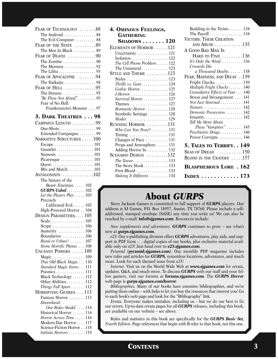| FEAR OF TECHNOLOGY 88                               |  |
|-----------------------------------------------------|--|
|                                                     |  |
| The Android88                                       |  |
| The Evil Computer 88                                |  |
| FEAR OF THE STATE 89                                |  |
| The Men In Black 89                                 |  |
| FEAR OF DEATH 90                                    |  |
|                                                     |  |
| The Zombie  90                                      |  |
| The Mummy 92                                        |  |
| The Lilitu 93                                       |  |
| FEAR OF APOCALYPSE 94                               |  |
|                                                     |  |
| The Daikaiju 94                                     |  |
| FEAR OF HELL 95                                     |  |
| The Demon 95                                        |  |
| "Be Thou Not Afraid"95                              |  |
| Fear of No Hell:                                    |  |
| Frankenstein's Monster 97                           |  |
|                                                     |  |
| 3. DARK THEATRES 98                                 |  |
|                                                     |  |
| CAMPAIGN LENGTH 99                                  |  |
| One-Shots. 99                                       |  |
| Extended Campaigns  99                              |  |
|                                                     |  |
| NARRATIVE STRUCTURES 100                            |  |
| Escape 101                                          |  |
| Gauntlet 101                                        |  |
| Nemesis  101                                        |  |
| Picaresque  101                                     |  |
|                                                     |  |
| Mix and Match  101                                  |  |
|                                                     |  |
| . 102<br>ANTAGONISTS                                |  |
| The Nature of the                                   |  |
|                                                     |  |
|                                                     |  |
| Beast: Enemies  102                                 |  |
| <b>GURPS Cabal.</b> 102                             |  |
| Let the Players Play  103                           |  |
| Precisely                                           |  |
| Calibrated Evil 103                                 |  |
| High-Powered Horror 104                             |  |
| <b>DESIGN PARAMETERS. 105</b>                       |  |
|                                                     |  |
| Scale105                                            |  |
| Scope $\ldots \ldots \ldots \ldots \ldots 106$      |  |
| Austerity  106                                      |  |
| Boundaries  106                                     |  |
| Rural or Urban?  107                                |  |
| Some Horrific Planes  108                           |  |
| <b>UNCANNY POWERS  109</b>                          |  |
|                                                     |  |
|                                                     |  |
| That Old Black Magic 110                            |  |
| Standard Magic Items 111                            |  |
| Psionics  111                                       |  |
| Black Technology  112                               |  |
| Other Abilities. 112                                |  |
| Things Fall Apart  112                              |  |
|                                                     |  |
| HORRIFYING GENRES  113                              |  |
| Fantasy Horror 113                                  |  |
| Dreamland:                                          |  |
| One Rules Model  114                                |  |
| Historical Horror  114                              |  |
| Horror Across Time  116                             |  |
| Modern-Day Horror 117<br>Science-Fiction Horror 118 |  |

*Infinite Horrors* . . . . . . . . 119

| 4. OMINOUS FEELINGS,                                           |
|----------------------------------------------------------------|
| GATHERING                                                      |
| $SHADOWS$ $120$                                                |
| ELEMENTS OF HORROR 121                                         |
| Uncertainty  121                                               |
| Isolation 122                                                  |
| The Cell Phone Problem 122                                     |
| The Unnatural 123                                              |
| STYLE AND THEME $\dots \dots \dots 123$                        |
| Styles $\dots \dots \dots \dots \dots \dots \dots 123$         |
| Thrills vs. Gore $124$                                         |
| Gothic Horror 125                                              |
| J-Horror  126                                                  |
| Survival Horror  127                                           |
| Themes127                                                      |
| Romantic Horror  128                                           |
| Symbolic Settings 128                                          |
| $\textit{Models} \dots \dots \dots \dots \dots \dots 129$      |
| RUNNING HORROR 131                                             |
| Who Can You Trust?  131                                        |
| $T \text{iming} \dots \dots \dots \dots \dots \dots \dots 131$ |
| Changes of Pace  131                                           |
| Props and Atmosphere 131                                       |
| Adding Horror In  132                                          |
| $Sc$ ENARIO DESIGN $\dots \dots \dots 132$                     |
| The Teaser133                                                  |
| The Story Hook 133                                             |
| First Blood 133                                                |
| Making It Different 134                                        |

| Building in the Twists 134<br>The Payoff $\dots\dots\dots\dots\dots$ 134<br><b>VICTIMS: THEIR CREATION</b> |
|------------------------------------------------------------------------------------------------------------|
| AND ABUSE $\dots \dots \dots \dots \dots 135$<br>A GOOD BAD MAN IS                                         |
| HARD TO FIND 136                                                                                           |
| It's Only the Wind 136                                                                                     |
| Cowards Die                                                                                                |
| a Thousand Deaths 138                                                                                      |
| FEAR, MADNESS, AND DECAY 139                                                                               |
| Fright Checks. 139                                                                                         |
| Multiple Fright Checks 140                                                                                 |
| Cumulative Effects of Fear 140                                                                             |
| Stress and Derangement  141                                                                                |
| Not Just Stunned 141                                                                                       |
| $Tumors \ldots \ldots \ldots \ldots \ldots \ldots 142$                                                     |
| Demonic Possession  142                                                                                    |
|                                                                                                            |
| Tell Me More About                                                                                         |
| These "Vampires"  145                                                                                      |
| Psychiatric Drugs146                                                                                       |
| Power Corrupts 146                                                                                         |
| 5. TALES TO TERRIFY. . 149                                                                                 |
| SEAS OF DREAD $\dots\dots\dots150$                                                                         |
| BLOOD IN THE CRATERS  .157                                                                                 |
| <b>BLASPHEMOUS LORE</b> . 162                                                                              |
| $INDEX \ldots \ldots \ldots \ldots 173$                                                                    |

## About *GURPS*

Steve Jackson Games is committed to full support of *GURPS* players. Our address is SJ Games, P.O. Box 18957, Austin, TX 78760. Please include a selfaddressed, stamped envelope (SASE) any time you write us! We can also be reached by e-mail: **info@sjgames.com**. Resources include:

*New supplements and adventures. GURPS* continues to grow – see what's new at **gurps.sjgames.com**.

*e23.* Our e-publishing division offers *GURPS* adventures, play aids, and support in PDF form . . . digital copies of our books, plus exclusive material available only on e23! Just head over to **e23.sjgames.com**.

*Pyramid* (**pyramid.sjgames.com**). Our monthly PDF magazine includes new rules and articles for *GURPS,* systemless locations, adventures, and much more. Look for each themed issue from e23!

*Internet.* Visit us on the World Wide Web at **www.sjgames.com** for errata, updates, Q&A, and much more. To discuss *GURPS* with our staff and your fellow gamers, visit our forums at **forums.sjgames.com**. The *GURPS Horror* web page is **gurps.sjgames.com/horror**.

*Bibliographies.* Many of our books have extensive bibliographies, and we're putting them online – with links to let you buy the resources that interest you! Go to each book's web page and look for the "Bibliography" link.

*Errata.* Everyone makes mistakes, including us – but we do our best to fix our errors. Up-to-date errata pages for all *GURPS* releases, including this book, are available on our website – see above.

Rules and statistics in this book are specifically for the *GURPS Basic Set, Fourth Edition.* Page references that begin with B refer to that book, not this one.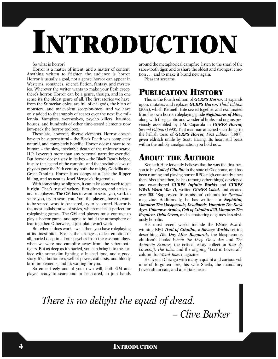## <span id="page-4-0"></span>INTRODUCTION

#### So what is horror?

Horror is a matter of intent, and a matter of content. Anything written to frighten the audience is horror. Horror is usually a goal, not a genre; horror can appear in Westerns, romances, science fiction, fantasy, and mysteries. Wherever the writer wants to make your flesh creep, there's horror. Horror can be a genre, though, and in one sense it's the oldest genre of all. The first stories we have, from the Sumerian epics, are full of evil gods, the birth of monsters, and malevolent scorpion-men. And we have only added to that supply of scares over the next five millennia. Vampires, werewolves, psycho killers, haunted houses, and hundreds of other time-tested elements now jam-pack the horror toolbox.

These are, however, diverse elements. Horror doesn't have to be supernatural – the Black Death was completely natural, and completely horrific. Horror doesn't have to be human – the slow, inevitable death of the universe scared H.P. Lovecraft more than any personal narrative ever did. But horror doesn't stay in its box – the Black Death helped inspire the legend of the vampire, and the inevitable laws of physics gave the 20th century both the mighty Godzilla and Great Cthulhu. Horror is as sloppy as a Jack the Ripper killing, and as neat as Josef Mengele's fingernails.

With something so slippery, it can take some work to get it right. That's true of writers, film directors, and artists – and roleplayers. The GM has to want to scare you, work to scare you, try to scare you. You, the players, have to want to be scared, work to be scared, try to be scared. Horror is the most collaborative of styles, which makes it perfect for roleplaying games. The GM and players must contract to play a horror game, and agree to build the atmosphere of fear together. Otherwise, it just plain won't work.

But when it does work – well, then, you have roleplaying at its finest pitch. Fear is the strongest, oldest emotion of all, buried deep in all our psyches from the caveman days, when we were one campfire away from the saber-tooth tigers. But as deep as it's buried, you can bring it to the surface with some dim lighting, a hushed tone, and a good story. It's a bottomless well of power, catharsis, and bloody farm implements, and it's waiting for you.

So enter freely and of your own will, both GM and player, ready to scare and to be scared, to join hands

around the metaphorical campfire, listen to the snarl of the saber-tooth tiger, and to share the oldest and strongest emotion . . . and to make it brand new again.

Pleasant screams.

## PUBLICATION HISTORY

This is the fourth edition of *GURPS Horror.* It expands upon, mutates, and replaces *GURPS Horror, Third Edition* (2002), which Kenneth Hite sewed together and reanimated from his own horror roleplaying guide *Nightmares of Mine,* along with the gigantic and wonderful limbs and organs previously assembled by J.M. Caparula in *GURPS Horror, Second Edition* (1990). That madman attached such things to the hellish torso of *GURPS Horror, First Edition* (1987), given eldritch unlife by Scott Haring. Its heart still beats within the unholy amalgamation you hold now.

### ABOUT THE AUTHOR

Kenneth Hite fervently believes that he was the first person to buy *Call of Cthulhu* in the state of Oklahoma, and has been running and playing horror RPGs nigh-constantly since then. Also since then, he has (among other things) developed and co-authored *GURPS Infinite Worlds* and *GURPS WWII: Weird War II,* written *GURPS Cabal,* and created over 300 "Suppressed Transmission" columns for *Pyramid* magazine. Additionally, he has written for *Nephilim, Vampire: The Masquerade, Deadlands, Vampire: The Dark Ages, Unknown Armies, Call of Cthulhu d20, Vampire: The Requiem, Delta Green,* and a smattering of games less obviously horrific.

His most recent works include the ENnie Awardwinning RPG *Trail of Cthulhu,* a *Savage Worlds* setting describing *The Day After Ragnarok,* the blasphemous children's books *Where the Deep Ones Are* and *The Antarctic Express,* the critical essay collection *Tour de Lovecraft: The Tales,* and the ongoing "Lost in Lovecraft" column for *Weird Tales* magazine.

He lives in Chicago with many a quaint and curious volume of forgotten lore, his wife Sheila, the mandatory Lovecraftian cats, and a tell-tale heart.

*There is no delight the equal of dread. – Clive Barker*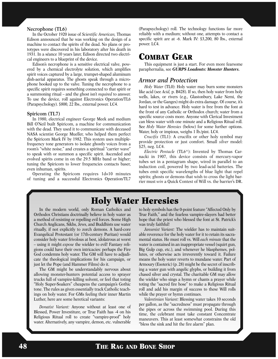#### <span id="page-5-0"></span>**Necrophone (TL6)**

In the October 1920 issue of *Scientific American,* Thomas Edison announced that he was working on the design of a machine to contact the spirits of the dead. No plans or prototypes were discovered in his laboratory after his death in 1931. In a séance 10 years later, Edison directed two electrical engineers to a blueprint of the device.

Edison's necrophone is a sensitive electrical valve, powered by a chemical electrolyte solution, which amplifies spirit voices captured by a large, trumpet-shaped aluminum dish-aerial apparatus. The ghosts speak through a microphone hooked up to the valve. Tuning the necrophone to a specific spirit requires something connected to that spirit or a summoning ritual – and the ghost isn't *required* to answer. To use the device, roll against Electronics Operation/TL6 (Parapsychology). \$800, 22 lbs., external power. LC4.

#### **Spiricom (TL7)**

In 1980, electrical engineer George Meek and medium Bill O'Neil built Spiricom, a machine for communication with the dead. They used it to communicate with deceased NASA scientist George Mueller, who helped them perfect the Spiricom Mark IV by 1982. This system uses multiplefrequency tone generators to isolate ghostly voices from a room's "white noise," and creates a spiritual "carrier wave" to speak with or summon a specific spirit. Ascended and evolved spirits come in on the 29.5 MHz band or higher; tuning the Spiricom to lower frequencies contacts baser, even inhuman, spirits.

Operating the Spiricom requires  $1dx10$  minutes of tuning and a successful Electronics Operation/TL7 (Parapsychology) roll. The technology functions far more reliably with a medium; without one, attempts to contact a specific spirit are at -6. Mark IV: \$3,200, 80 lbs., external power. LC4.

## COMBAT GEAR

This equipment is just a start. For even more fearsome paraphernalia, see *GURPS Loadouts: Monster Hunters.*

#### *Armor and Protection*

*Holy Water* (TL0): Holy water may burn some monsters like acid (see *Acid,* p. B428). If so, then holy water from holy wells, lakes, or rivers (e.g., Glastonbury, Lake Nemi, the Jordan, or the Ganges) might do extra damage. Of course, it's hard to test in advance. Holy water is free from the font at the front of any Catholic or Orthodox church; water from a specific source costs more. Anyone with Clerical Investment can bless water with one minute and a Religious Ritual roll. See *Holy Water Heresies* (below) for some further options. Water, holy or impious, weighs 1 lb./pint. LC4.

*Crucifix* (TL1): A crucifix or other holy symbol may provide protection or just comfort. Small *silver* model: \$25, neg. LC4.

*Electric Pentacle* (TL6^): Invented by Thomas Carnacki in 1907, this device consists of mercury-vapor tubes set in a pentagram shape, wired in parallel to an induction coil, powered by two lead-acid batteries. The tubes emit specific wavelengths of blue light that repel spirits; ghosts or demons that wish to cross the light barrier must *win* a Quick Contest of Will vs. the barrier's DR.

## Holy Water Heresies

In the modern world, only Roman Catholics and Orthodox Christians doctrinally believe in holy water as a method of resisting or repelling evil forces. Some High Church Anglicans, Sikhs, Jews, and Buddhists use water ritually, if not explicitly to zorch demons. A hard-core Evangelical Protestant (or 17th-century Puritan) would consider holy water frivolous at best, idolatrous at worst – using it might *expose* the wielder to evil! Fantasy religions could have their own intricacies: perhaps the Fire God condemns holy water. The GM will have to adjudicate the theological implications for his campaign, or just let the Pope (and Hammer Films) do it.

The GM might be understandably nervous about allowing monster-hunters potential access to sprayer trucks full of vampire-killing solvent, or feel that toting "Holy Super-Soakers" cheapens the campaign's Gothic tone. The rules as given essentially track Catholic teachings on holy water. For GMs feeling their inner Martin Luther, here are some heretical variants:

*Donatist Variant:* Anyone without at least one of Blessed, Power Investiture, or True Faith has -4 on his Religious Ritual roll to create "vampire-proof" holy water. Alternatively, any vampire, demon, etc. vulnerable

to holy symbols has the 0-point feature "Affected Only by True Faith," and the fearless vampire-slayers had better hope that the priest who blessed the font at St. Patrick's was truly faithful!

*Jansenist Variant:* The wielder has to maintain suitable reverence for the holy water for it to retain its sacramental status. He must roll vs. Will *each minute* that the water is contained in an inappropriate vessel (squirt gun, Big Gulp cup, etc.), and whenever he blasphemes, pollutes, or otherwise acts irreverently toward it. Failure means the holy water reverts to mundane water. Part of Armoury (Esoteric) (p. 28) might be the secret of inscribing a water gun with angelic glyphs, or building it from chased silver and crystal. The charitable GM may allow the wielder who sings a hymn or chants a prayer while toting the "sacred fire hose" to make a Religious Ritual roll and add his margin of success to these Will rolls while the prayer or hymn continues.

*Valentinian Variant:* Blessing water takes 10 seconds per gallon, as the "sacredness" must propagate through the pipes or across the swimming pool. During this time, the celebrant must take constant Concentrate maneuvers. This at least somewhat constrains the old "bless the sink and hit the fire alarm" plan.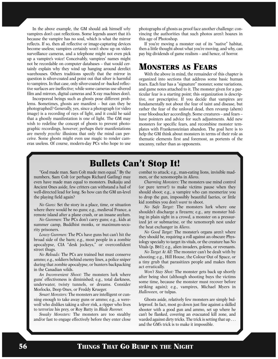<span id="page-6-0"></span>In the above example, the GM should ask himself *why* vampires don't cast reflections. Some legends assert that it's because the vampire has no soul, which is what the mirror reflects. If so, then all reflective or image-capturing devices become useless; vampires certainly won't show up on video surveillance cameras, and a telephone might not even pick up a vampire's voice! Conceivably, vampires' names might not be recordable on computer databases – that would certainly explain why they wind up hanging around derelict warehouses. Others traditions specify that the mirror in question is silver-coated and point out that silver is harmful to vampires. In that case, only silver-coated or -backed reflective surfaces are ineffective; while some cameras use silvered film and mirrors, digital cameras and X-ray machines don't.

Incorporeal beings such as ghosts pose different problems. Sometimes, ghosts are manifest – but can they be photographed? Generally, yes, since a photograph (or video image) is a recording of rays of light, and it could be said that a ghostly manifestation is one of light. The GM may wish to redefine the concept of ghosts to prevent photographic recordings, however; perhaps their manifestations are merely *psychic* illusions that only the mind can perceive. Some ghosts might even use magic to render cameras useless. Of course, modern-day PCs who hope to use

photographs of ghosts as proof face another challenge: convincing the authorities that such photos aren't hoaxes in this age of Photoshop.

If you're moving a monster out of its "native" habitat, then a little thought about what you're moving, and why, can pay big dividends of game realism – and hence, of horror.

## MONSTERS AS FEARS

With the above in mind, the remainder of this chapter is organized into sections that address some basic human fears. Each fear has a "signature" monster, some variations, and game notes attached to it. The monster given for a particular fear is a starting point; this organization is descriptive, *not* prescriptive. If you decide that vampires are fundamentally not about the fear of taint and disease, but rather the fear of the unloved dead, then revamp (ahem) your bloodsucker accordingly. Some creatures – and fears – have pointers and advice for such adjustments. Add new monsters for specific fears, and recombine monster templates with Frankensteinian abandon. The goal here is to help the GM think about monsters in terms of their role as thematic elements first and foremost, as portents of the uncanny, rather than as opponents.

## Bullets Can't Stop It!

"God made man. Sam Colt made men equal." By the numbers, Sam Colt (or perhaps Richard Gatling) may even have made man equal to monsters. Daikaiju and Ancient Ones aside, few critters can withstand a hail of well-directed lead for long. So how can the GM un-level the playing field again?

*No Guns:* Set the story in a place, time, or situation where there would be no guns; e.g., medieval France, a remote island after a plane crash, or an insane asylum.

*No Gunmen:* The PCs don't carry guns; e.g., kids at summer camp, Buddhist monks, or maximum-security prisoners.

*Lousy Gunmen:* The PCs have guns but can't hit the broad side of the barn; e.g., most people in a zombie apocalypse, CIA "desk jockeys," or overconfident street thugs.

*No Reloads:* The PCs are trained but must conserve ammo; e.g., soldiers behind enemy lines, a police sniper during that zombie apocalypse, or hunters backpacking in the Canadian wilds.

*An Inconvenient Shoot:* The monsters lurk where guns' effectiveness is diminished; e.g., total darkness, underwater, twisty tunnels, or dreams. Consider Morlocks, Deep Ones, or Freddy Krueger.

*Smart Monsters:* The monsters are intelligent or cunning enough to take away guns or ammo; e.g., a werewolf who dislikes taking a silver risk, a ripper who lives to terrorize his prey, or Roy Batty in *Blade Runner.*

*Sneaky Monsters:* The monsters are too stealthy and/or fast to engage effectively before they enter close

combat to attack; e.g., man-eating lions, invisible madmen, or the xenomorphs in *Aliens.*

*Charming Monsters:* The monsters use mind control (or pure terror!) to make victims pause when they should shoot; e.g., a vampire who can mesmerize you to drop the gun, impossibly beautiful faeries, or little kid zombies you don't *want* to shoot.

*No Safe Target:* The monsters lurk where one shouldn't discharge a firearm; e.g., any monster hiding in plain sight in a crowd, a monster on a pressurized jet or submarine, or the xenomorph nest under the heat exchanger in *Aliens.*

*No Good Target:* The monster's organs aren't where they should be, requiring a roll against an obscure Physiology specialty to target its vitals, or the creature has No Vitals (p. B61); e.g., alien invaders, golems, or revenants.

*No Target At All:* The monster can't be dealt with by shooting; e.g., Hill House, the Colour Out of Space, or a tiny grub that parasitizes people and makes them act erratically.

*Won't Stay Shot:* The monster gets back up shortly after being shot (although shooting buys the victims some time, because the monster must recover before striking again); e.g., vampires, Michael Myers in *Halloween,* or tulpas.

Ghosts aside, relatively few monsters are simply bulletproof. In fact, most go down just fine against a skilled shooter with a good gun and ammo, set up where he can't be flanked, covering an evacuated kill zone, and warded against dirty tricks. The trick is setting that up . . . and the GM's trick is to make it impossible.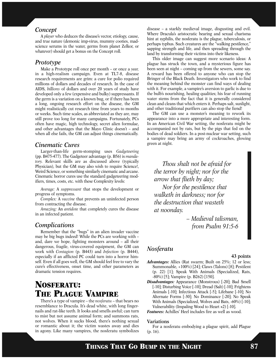#### <span id="page-7-0"></span>*Concept*

A *player* who deduces the disease's vector, etiology, cause, and true nature (demonic imp-virus, mummy cooties, madscience serums in the water, germs from planet Zelkor, or whatever) should get a bonus on the Concept roll.

#### *Prototype*

Make a Prototype roll once per month – or once a *year,* in a high-realism campaign. Even at TL7-8, disease research requirements are grim: a cure for polio required millions of dollars and decades of research. In the case of AIDS, *billions* of dollars and over 20 years of study have developed only a few (expensive and bulky) suppressants. If the germ is a variation on a known bug, or if there has been a long, ongoing research effort on the disease, the GM might realistically cut research time from years to months or weeks. Such time scales, as abbreviated as they are, may still prove too long for many campaigns. Fortunately, PCs often have magic, high technology, secret alien formulae, and other advantages that the Mayo Clinic doesn't – and when all else fails, the GM can adjust things cinematically.

#### *Cinematic Cures*

Larger-than-life germ-stomping uses *Gadgeteering* (pp. B475-477). The Gadgeteer advantage (p. B56) is *mandatory.* Relevant skills are as discussed above (typically Physician), but the GM may also wish to require Science!, Weird Science, or something similarly cinematic and arcane. Cinematic horror cures use the standard gadgeteering modifiers, times, costs, etc. with these Complexity levels:

*Average:* A *suppressant* that stops the development or progress of symptoms.

*Complex:* A *vaccine* that prevents an uninfected person from contracting the disease.

*Amazing:* An *antidote* that completely cures the disease in an infected patient.

#### *Complications*

Remember that the "bugs" in an alien invader vaccine may be big bugs indeed! While the PCs are working with – and, dare we hope, fighting monsters around – all their dangerous, fragile, virus-covered equipment, the GM can work with *Contagion* (p. B443) and *Infection* (p. B444), especially if an afflicted PC could turn into a horror himself. Even if all goes well, the GM should feel free to vary the cure's effectiveness, onset time, and other parameters as dramatic tension requires.

## NOSFERATU: THE PLAGUE VAMPIRE

There's a type of vampire – the *nosferatu* – that bears no resemblance to Dracula. It's dead white, with long fingernails and rat-like teeth. It looks and smells awful; can turn to mist but not assume animal form; and summons rats, not wolves. When it sucks blood, there's nothing sexual or romantic about it; the victim wastes away and dies in agony. Like many vampires, the nosferatu symbolizes

disease – a starkly medieval image, disgusting and evil. Where Dracula's aristocratic bearing and sexual charisma hint at syphilis, the nosferatu is the plague, tuberculosis, or perhaps typhus. Such creatures are the "walking pestilence," sapping strength and life, and then spreading through the land by transforming their victims into their likeness.

This older image can suggest more scenario ideas: A plague has struck the town, and a mysterious figure has been seen at night – coming up from the sewers, some say. A reward has been offered to anyone who can stop the Bringer of the Black Death. Investigators who work to find the meaning behind the monster can find ways of dealing with it. For example, a vampire's aversion to garlic is due to the bulb's nourishing, healing qualities; his fear of running water stems from the fact that it is generally considered clean and cleans that which enters it. Perhaps salt, sunlight, and other traditional purifiers can also stop the fiend!

The GM can use a monster's meaning to rework its appearance into a more appropriate and interesting form. In an American Civil War setting, the nosferatu might be accompanied not by rats, but by the pigs that fed on the bodies of dead soldiers. In a post-nuclear war setting, such a vampire may bring an army of cockroaches, glowing green at night.

*Thou shalt not be afraid for the terror by night; nor for the arrow that flieth by day; Nor for the pestilence that walketh in darkness; nor for the destruction that wasteth at noonday.*

> *– Medieval talisman, from Psalm 91:5-6*

#### *Nosferatu*

#### **43 points** *Advantages:* Allies (Rat swarm; Built on 25%; 12 or less; Summonable, +100%) [24]; Claws (Talons) [8]; Pestilent (p. 22) [1]; Speak With Animals (Specialized, Rats,

-80%) [5]; Vampire (p. B262) [150]. *Disadvantages:* Appearance (Monstrous) [-20]; Bad Smell [-10]; Disturbing Voice [-10]; Dread (Salt) [-10]; Frightens Animals [-10]; Infectious Attack [-5]; Lifebane [-10]; No Alternate Forms [-30]; No Dominance [-20]; No Speak With Animals (Specialized, Wolves and Bats, -60%) [-10]; Vulnerability (Impaling Wood to Heart  $\times 2$ ) [-10].

*Features:* Achilles' Heel includes fire as well as wood.

#### **Variations**

For a nosferatu embodying a plague spirit, add Plague (p. 16).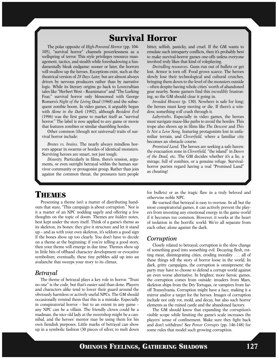## Survival Horror

<span id="page-8-0"></span>The polar opposite of *High-Powered Horror* (pp. 104- 105), "survival horror" channels powerlessness as a wellspring of terror. This style privileges resource management, tactics, and stealth while foreshadowing a fundamentally bleak endgame: sooner or later, the horrors will swallow up the heroes. Exceptions exist, such as the theatrical version of *28 Days Later,* but are almost always driven by nervous producers rather than by narrative logic. While its literary origins go back to Lovecraftian tales like "Herbert West – Reanimator" and "The Lurking Fear," survival horror only blossomed with George Romero's *Night of the Living Dead* (1968) and the subsequent zombie boom. In video games, it arguably began with *Alone in the Dark* (1992), although *Resident Evil* (1996) was the first game to market itself as "survival horror." The label is now applied to *any* game or movie that features zombies or similar shambling hordes.

Other common (though not universal) traits of survival horror include:

*Brutes vs. brains.* The nearly always mindless horrors appear in swarms or hordes of identical monsters. Surviving heroes are smart, not just tough.

*Disunity.* Particularly in films, there's tension, arguments, or even outright betrayal within the human survivor community or protagonist group. Rather than join against the common threat, the pressures turn people

bitter, selfish, panicky, and cruel. If the GM wants to emulate such intraparty conflicts, then it's probably best to make survival-horror games one-offs unless everyone involved truly likes that kind of roleplaying.

*Dwindling resources.* Guns run out of bullets or get lost. Armor is torn off. Food grows scarce. The heroes slowly lose their technological and cultural crutches, bringing them down to the level of the monsters outside – often despite having whole cities' worth of abandoned gear nearby. Some gamers find this *incredibly* frustrating, so the GM should clear it going in.

*Invaded Houses* (p. 130). Nowhere is safe for long; the heroes must keep moving or die. If there's a window, something *will* crash through it.

*Labyrinths.* Especially in video games, the heroes must navigate maze-like paths to avoid the hordes. This trope also shows up in films like *The Descent* and *This Is Not a Love Song,* featuring protagonists lost in unfamiliar terrain, and *Cloverfield,* where a familiar city becomes an obstacle course.

*Promised Land.* The heroes are seeking a safe haven: the evacuation zone in *Cloverfield,* "the island" in *Dawn of the Dead,* etc. The GM decides whether it's a lie, a mirage, full of zombies, or a genuine refuge. Survivalhorror purists regard having a real "Promised Land" as cheating!

### **THEMES**

Presenting a theme isn't a matter of distributing handouts that state, "This campaign is about corruption." Nor is it a matter of an NPC nodding sagely and offering a few thoughts on the topic of doom. Themes are *hidden* notes, best kept under the story itself. Think of a game's theme as its skeleton, its bones: they give it structure and let it stand up – and as with your own skeleton, it's seldom a good sign if the bones show up too clearly. You don't have to decide on a theme at the beginning; if you're telling a good story, then your theme will emerge in due time. Themes show up in little bits of offhand character development or evocative symbolism; eventually, these tiny pebbles add up into an avalanche that sweeps your story to its climax.

#### *Betrayal*

The theme of betrayal plays a key role in horror. "Trust no one" is the code, but that's easier said than done. Players and characters alike tend to lower their guard around the obviously harmless or actively useful NPCs. The GM should occasionally remind them that this is a mistake. Especially in conspiratorial horror – but to an extent in any game – any NPC can be a villain. The friendly clown could be a madman, the nice old lady at the sweetshop might be a cannibal, and the heroes' mentor may be using them for his own fiendish purposes. Little marks of betrayal can show up in a symbolic fashion (30 pieces of silver, to melt down

for bullets) or as the tragic flaw in a truly beloved and otherwise noble NPC.

Be warned that betrayal is easy to overuse. In all but the most conspiratorial games, it can actively prevent the players from investing any emotional energy in the game world if it becomes too common. However, it works at the heart of isolation in the horrific world: We're all separate from each other, alone against the dark.

#### *Corruption*

Closely related to betrayal, corruption is the slow change of something good into something evil. Decaying flesh, rotting meat, disintegrating cities, eroding morality . . . all of these things tell the story of horror loose in the world. In dark, gritty campaigns, the corruption is omnipresent; the party may have to choose to defend a corrupt world against an even worse alternative. In brighter, more heroic games, the corruption comes from outside: invaders from Mars, skeleton ships from the Dry Tortugas, or vampires from faroff Transylvania. Corruption might have a face, making it a mirror and/or a target for the heroes. Images of corruption include not only rot, mold, and decay, but also such horror elements as the ruined castle and the abandoned factory.

The GM should know that expanding the corruption's visible scope while limiting the game's scale increases the players' sense of confinement. Make sure they fight back and don't withdraw! See *Power Corrupts* (pp. 146-148) for some rules that model such growing corruption.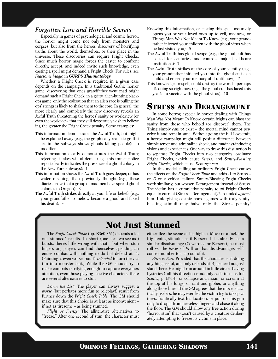#### <span id="page-9-0"></span>*Forgotten Lore and Horrible Secrets*

Especially in games of psychological and cosmic horror, the horror might come not only from monsters and corpses, but also from the heroes' discovery of horrifying truths about the world, themselves, or their place in the universe. These discoveries can require Fright Checks. Since much horror magic forces the caster to confront directly, accept, and indeed invite such knowledge, even casting a spell might demand a Fright Check! For rules, see *Fearsome Magic* in *GURPS Thaumatology.*

Whether a Fright Check is required in a given case depends on the campaign. In a traditional Gothic horror game, discovering that one's grandfather went mad might demand such a Fright Check; in a gritty, alien-hunting blackops game, only the realization that an alien race is pulling the ops' strings is likely to shake them to the core. In general, the more clearly and completely the new discovery reveals an Awful Truth threatening the heroes' sanity or worldview (or even the worldview that they still desperately wish to believe in), the greater the Fright Check penalty. Some examples:

- This information demonstrates the Awful Truth, but might be explained away (e.g., the graphically realistic graffiti art in the subways shows ghouls killing people): no modifier
- This information clearly demonstrates the Awful Truth; rejecting it takes willful denial (e.g., this transit police report clearly indicates the presence of a ghoul colony in the New York subways): -1
- This information shows the Awful Truth goes deeper, or has wider meaning, than previously thought (e.g., these diaries prove that a group of madmen have spread ghoul colonies to Oregon): -3
- The Awful Truth strikes directly at your life or beliefs (e.g., your grandfather somehow became a ghoul and faked his death): -3
- Knowing this information, or casting this spell, assuredly opens you or your loved ones up to evil, madness, or Things Man Was Not Meant To Know (e.g., your grandfather infected your children with the ghoul virus when he last visited you): -5
- The Awful Truth has global scope (e.g., the ghoul cult has existed for centuries, and controls major healthcare institutions): -7
- The Awful Truth strikes at the core of your identity (e.g., your grandfather initiated you into the ghoul cult as a child and erased your memory of it until now): -7
- This knowledge, or spell, could destroy the world perhaps it's doing so right now (e.g., the ghoul cult has laced this year's flu vaccine with the ghoul virus): -10

## STRESS AND DERANGEMENT

In some horror, especially horror dealing with Things Man Was Not Meant To Know, certain frights can blast the sanity from those who behold (or discover) them. The Thing simply *cannot* exist – the mortal mind cannot perceive it and remain sane. Without going the full Lovecraft, a horror campaign might still posit a difference between simple terror and adrenaline shock, and madness-inducing visions and experiences. One way to draw this distinction is to separate Fright Checks into two categories: ordinary Fright Checks, which cause *Stress,* and *Sanity-Blasting Fright Checks,* which cause *Derangement.*

In this model, failing an ordinary Fright Check causes the effects on the *Fright Check Table* and adds -1 to Stress – or -3 on a critical failure. Sanity-Blasting Fright Checks work similarly, but worsen Derangement instead of Stress. The victim has a cumulative penalty to *all* Fright Checks equal to current (Stress + Derangement)/2, rounded *against* him. Unforgiving cosmic horror games with truly sanityblasting stimuli may halve only the Stress penalty!

## Not Just Stunned

The *Fright Check Table* (pp. B360-361) depends a lot on "stunned" results. In short (one- or two-second) bursts, there's little wrong with that – but when stun lingers on, players can find themselves spending an entire combat with nothing to do but defend at -4. (Fainting is even worse, but it's *intended* to turn the victim into monster bait.) While the GM should try to make combats terrifying enough to capture everyone's attention, even those playing inactive characters, there are several alternatives to stun:

*Down the List:* The player can always suggest a *worse* (but perhaps more fun to roleplay!) result from further down the *Fright Check Table.* The GM should make sure that this choice is at least as inconvenient – if not as tiresome – as being stunned.

*Flight or Frenzy:* The alliterative alternatives to "freeze." After one second of stun, the character must

either flee the scene at his highest Move or attack the frightening stimulus as if Berserk. If he already has a similar disadvantage (Cowardice or Berserk), he must roll vs. the *lower* of Will or that disadvantage's selfcontrol number to snap out of it.

*Stun is Fun:* Provided that the character isn't doing anything useful, and only defends at -4, he need not just stand there. He might run around in little circles having hysterics (roll his direction randomly each turn, as for *Scatter,* p. B414), or collapse and moan, or scream at the top of his lungs, or rant and gibber, or anything along those lines. If the GM agrees that the move is tactically useless, he may even let the victim try to take pictures, frantically text his location, or pull out his gun only to drop it from nerveless fingers and chase it along the floor. The GM should allow any free action during "horror stun" that wasn't caused by a creature deliberately attempting to freeze its victims in place.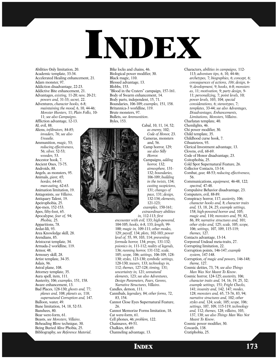# INDEX

<span id="page-10-0"></span>Abilities Only limitation, 20. Academic template, 33-34. Accelerated Healing enhancement, 21. Adam monster, 97. Addiction disadvantage, 22-23. Addictive Bite enhancement, 21. Advantages, *existing,* 11-20; *new,* 20-21; *powers and,* 31-33; *secret,* 22. Adventures, *character hooks,* 6-8; *maintaining the mood,* 6, 10, 44-46; *Monster Hunters,* 11; *Plain Folks,* 10- 11; *see also Campaigns*. Affliction advantage, 12-13. AI, evil, 88. Aliens, *infiltrators,* 84-85; *invaders,* 76; *see also Unseelie*. Ammunition, *magic,* 53; *reducing effectiveness,* 56; *silver,* 52-53; *wooden,* 53. Ancestor hook, 7. Ancient Ones, 73-75. Androids, 88. Angels, as monsters, 95. Animals, *giant,* 65; *hordes,* 64-65; *man-eating,* 62-63. Animation limitation, 19. Antagonists, *see Villains*. Antiquary Talent, 19. Apeirophobia, 25. Ape-men, 152-153. Apes, fifty-foot, 65. Apocalypse, *fear of,* 94; *Phobia,* 25. Apparitions, 78. Ardat-lili, 93. Area Knowledge skill, 28. Arendians, 85. Aristocrat template, 34. Armada-2 worldline, 119. Armor, 48. Armoury skill, 28. Artist template, 34-35. Aslais, 96. Astral plane, 108. Attorney template, 35. Aura spell, item, 111. Austerity, 106; *examples,* 151, 158. Aware enhancement, 13. Bad Places, 128-130; *ghosts and,* 77; *planes and,* 108; *planets as,* 118; *supernatural Corruption and,* 147. Balloon, water, 49. Bane limitation, 14, 18, 52-53. Banshees, 80. Bear were-form, 61. Beasts, *see Monsters, Villains*. Beheading Blow technique, 30. Being Buried Alive Phobia, 25. Bibliography, *see Reference Material*.

Bike locks and chains, 46. Biological power modifier, 30. Black magic, 110. Blessed advantage, 13. Blobbs, 153. "Blood in the Craters" campaign, 157-161. Body of Swarm enhancement, 14. Body parts, independent, 15, 71. Boundaries, 106-109; *examples,* 151, 158. Britannica-3 worldline, 119. Brute monsters, 97. Bullets, *see Ammunition*. Byles, 153.



Cabal, 10, 11, 14, 52; *as enemy,* 102; *Code of Honor,* 23. Cameras, monsters and, 56. Camp horror, 129; *see also Silly Horror.* Campaigns, *adding horror,* 132; *atmosphere,* 131- 132; *boundaries,* 106-109; *building in the twists,* 134; *casting suspicions,* 131; *changes of pace,* 131; *design,* 132-134; *elements,* 121-123; *examples,* 150-161; *extraordinary abilities*

*in,* 112-113; *first encounter with evil,* 133; *high-powered,* 104-105; *hooks,* 6-8, 133; *length,* 99- 100; *magic in,* 109-111; *other modes,* 129; *payoff,* 134; *plots,* 102-103; *power level of,* 55, 99, 103, 114; *preventing formula horror,* 134; *props,* 131-132; *psionics in,* 111-112; *reality of legends,* 136; *running horror,* 131-132; *scale,* 105; *scope,* 106; *settings,* 106-109, 128- 130; *styles,* 123-130; *symbolic settings,* 128-130; *teasers,* 133; *technology in,* 112; *themes,* 127-128; *timing,* 131; *uncertainty in,* 121; *unnatural elements,* 123; *see also Adventures, Design Parameters, Fears, Genres, Narrative Structures, Villains*. Candles, demon, 111. Cannibals, *legendary,* 84; *other forms,* 72, 83, 154. Cannot Close Eyes Supernatural Feature, 26. Cannot Memorize Forms limitation, 18. Cat were-form, 61. Cell phones, 46; *problem,* 122. Chainsaws, 49-51.

Chalkies, 68-69.

Channeling advantage, 13.

Characters, *abilities in campaigns,* 112- 113; *adventure tips,* 6, 10, 44-46; *archetypes,* 7; *biographies,* 6; *concept,* 6; *consequences of actions, 106*; *design,* 6- 9; *development,* 9; *hooks,* 6-8; *monsters as,* 11; *motivation,* 9; *party design,* 9- 11; *personalizing,* 7; *point levels,* 10; *power levels,* 103, 104; *special considerations,* 6; *stereotypes,* 7; *templates,* 33-44; *see also Advantages, Disadvantages, Enhancements, Limitations, Monsters, Villains*. Charlatan template, 40. Chemlights, 46. Chi power modifier, 30. Child template, 35. Childhood curse hook, 7. Cihuateteos, 93. Clerical Investment advantage, 13. Clowns, evil, 68-69. Code of Honor disadvantage, 23. Coitophobia, 25. Cold Spot Supernatural Feature, 26. Collector Contacts, 13-14. Combat, *gear,* 48-53; *reducing effectiveness,* 56. Communications, *equipment,* 46-48, 122; *spectral,* 47-48. Compulsive Behavior disadvantage, 23. Computers, evil, 88-89. Conspiracy horror, 117; *austerity,* 106; *character hooks and,* 8; *character traits and,* 13, 18, 24, 25; *example settings,* 158; *high-powered horror and,* 105; *magic and,* 110; *monsters and,* 59, 82, 86, 89; *narrative structures and,* 101; *other styles and,* 125; *scale,* 105; *scope,* 106; *settings,* 107, 109, 115-119; *themes,* 127. Contacts advantage, 13-14. Corporeal Undead meta-traits, 27. Corrupting limitation, 22. Corruption points, 146-147; *example system,* 147-148. Corruption, *of magic and powers,* 146-148; *theme,* 127. Cosmic deities, 73, 74; *see also Things Man Was Not Meant To Know*. Cosmic horror, 124-125; *austerity,* 106; *character traits and,* 14, 16, 19, 25, 32; *example settings,* 151; *Fright Checks,* 141; *insanity and,* 142, 147; *modes,* 128; *monsters and,* 65, 73-76, 83, 94; *narrative structures and,* 102; *other styles and,* 124; *scale,* 105; *scope,* 106; *settings,* 107, 109, 115-119; *technology and,* 112; *themes,* 128; *villains,* 103, 137, 138; *see also Things Man Was Not Meant To Know*. Cosmic power modifier, 30. Cowards, 138. Cratiphobia, 25.

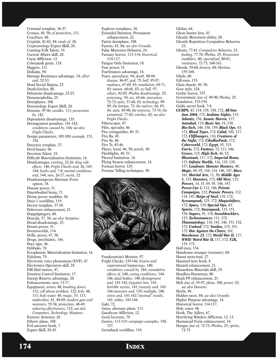Criminal template, 36-37. Crosses, 49, 50; *of protection,* 111. Crucifixes, 48. Cryptids, 81-82, 84; *study of,* 28. Cryptozoology Expert Skill, 28. Cunning Folk Talent, 19. Current Affairs skill, 28. Curse Affliction, 12. Cyberpunk genre, 118. Daggers, 111. Daikaiju, 94. Damage Resistance advantage, 14; *silver and,* 52-53. Dead Social Stigma, 25. Death-fetches, 80. Delusions disadvantage, 23-25. Dementophobia, 25. Demiplanes, 108. Demonology Expert Skill, 28. Demons, 95-96; *candles,* 111; *possession by,* 142. Dependents disadvantage, 135. Derangement penalties, 141-142; *conditions caused by,* 144*; see also Fright Checks*. Design parameters, 105-109; *example,* 151, 158. Detective template, 37. Devil-beasts, 96. Devotion Talent, 19. Difficult Materialization limitation, 16. Disadvantages, *existing,* 22-26; *drug side effects,* 146; *Fright Checks and,* 26, 143- 144; *hooks and,* 7-8; *mental conditions and,* 144; *new,* 26-27; *secret,* 22. Disadvantageous Alternate Form option, 18. Disease power, 31. Disembodied brain, 71. Divine power modifier, 30. Dixie-1 worldline, 119. Doctor template, 37-38. Doleovore enhancement, 21. Doppelgängers, 80. Dracula, 57, 58; *see also Vampires.* Dread disadvantage, 25. Dream power, 31. Dreamworlds, 114. Drills, power, 47, 50. Drugs, psychiatric, 146. Duct tape, 46. Dybbuks, 78. Ectoplasmic Materialization limitation, 16. Eidolons, 79. Electronic voice phenomena (EVP), 47. Electronics Operation skill, 28. EM filed meters, 47. Emotion Control limitation, 17. Energy Reserve advantage, 20. Enhancements, new, 13-17. Equipment, *armor,* 48; *breaking down,* 112; *cell phone problem,* 122; *holy,* 48, 111; *holy water,* 48; *magic,* 53, 111; *malevolent,* 81, 88-89; *modern gear and monsters,* 55-56; *protection,* 48-49; *reducing effectiveness,* 112; *see also Computers, Technology, Weapons*. Esoteric Armoury, 28. Etheric plane, 108. Evil ancestor hook, 7. Expert Skill, 28-29.

Explorer templates, 38. Extended Duration, Permanent enhancement, 22. Faërie demiplane, 108. Faeries, 83, 84; *see also Unseelie*. False Memories Delusion, 24. Fantasy horror, 113-114; *historical,* 114-117. Fatigue Only limitation, 18. Fear power, 31. Fearlessness advantage, 14. Fears, *apocalypse,* 94; *death,* 90-94; *disease,* 86-87; *god,* 75; *hell,* 95-97; *madness,* 67-69, 83; *mutilation,* 69-71, 83; *nature,* 60-66, 83; *no hell,* 97; *others,* 82-85; *Phobia disadvantage,* 25; *poisoning,* 59; *sex,* 65-66; *starvation,* 72-73; *taint,* 57-60, 83; *technology,* 88- 89; *the foreign,* 73; *the natives,* 66, 83; *the state,* 89-90; *the universe,* 73-76; *the unnatural,* 77-82; *witches,* 82; *see also Fright Checks*. Fiberscopes, 47. Film, specialty, 46. Fire extinguisher, 49, 51. Five Rs, 45. Five Ss, 46. Five Ts, 45-46. Flares, *hand,* 46, 50; *pistols,* 49. Flashlights, 49, 51. Flawed limitation, 18. Flying Swarm enhancement, 14. Fortean horror, 129. Fortune Telling techniques, 30.



Frankenstein's Monster, 97. Fright Checks, 139-146; *bizarre and supernatural happenings,* 140; *conditions caused by,* 144; *cumulative effects of,* 140; *curing conditions,* 144- 146; *dead bodies,* 140; *derangement and,* 141-142; *forgotten lore,* 141; *horrible secrets,* 141; *insanity and,* 143- 144 *monsters and,* 139; *multiple,* 140; *stress and,* 141-142;*"stunned" results,* 141; *tables,* 143-144. Gaki, 72. Gates, alternate plane, 111. Gaudivore Affliction, 12. Genii locorum, 79. Genres, 113-119; *campaign examples,* 150, 157. Gernsback worldline, 119.

Ghilan, 64. Ghost hunter lens, 41. Ghostly Movement ability, 20. Ghostly Repetition Compulsive Behavior, 23. Ghosts, 77-81; *Compulsive Behavior,* 23; *feeding,* 77-78; *Phobia,* 25; *Possession modifiers,* 80; *specialized,* 80-81; *variations,* 72-73, 160-161. Ghouls, 59-60; *fantasy,* 60; *Martian,* 159-160. Ghuls, 60. Gill-men, 153. Glass shards, 49, 50. Gore style, 124. Gothic horror, 125. Government, *fear of,* 89-90; *Phobia,* 25*.* Guiafairos, 153-154. Guilty secret hook, 7-8. *GURPS,* 43, 114, 139, 150, 172; *All-Star Jam 2004,* 172; *Arabian Nights,* 115; *Atlantis,* 156; *Atomic Horror,* 117; *Autoduel,* 119; *Basic Set,* 19, 139; *Bio-Tech,* 146, 158, 159; *Black Ops,* 43, 172; *Blood Types,* 172; *Cabal,* 102, 117, 172; *Cliffhangers,* 116; *Creatures of the Night,* 172; *CthulhuPunk,* 172; *Cyberworld,* 172; *Egypt,* 93, 115; *Faerie,* 172; *Fantasy,* 72, 111, 146; *Greece,* 115; *High-Tech,* 46, 53; *Illuminati,* 117, 172; *Imperial Rome,* 115; *Infinite Worlds,* 116, 119, 129, 157; *Loadouts: Monster Hunters,* 48; *Magic,* 69, 95, 110, 114, 146, 147; *Mars,* 161; *Martial Arts,* 11, 30; *Middle Ages 1,* 115; *Monsters,* 172; *Old West,* 115; *Powers,* 14, 31, 69, 95, 146, 147; *Power-Ups 1,* 112, 146; *Psionic Campaigns,* 112; *Psionic Powers,* 112, 114, 147; *Reign of Steel,* 119, 172; *Screampunk,* 125, 172; *Shapeshifters,* 172; *Space,* 119; *Special Ops,* 43; *Spirits,* 172; *Steampunk,* 115, 151, 158; *Supers,* 91, 118; *Swashbucklers,* 115; *Technomancer,* 111, 172; *Thaumatology,* 110, 141, 146, 151, 152, 172; *Undead,* 172; *Voodoo,* 115, 151, 172; *War Against the Chtorr,* 161; *Warehouse 23,* 172; *World War II,* 117; *WWII: Weird War II,* 117, 172; *Y2K,* 119, 172. Half-men, 154. Handsome stranger (monster), 68. Haunt meta-trait, 27. Haunted item hook, 8. Hazard enhancement, 21. Hazardous Materials skill, 29. Headless Horsemen, 80. Heals FP enhancement, 21. Hell, *fear of,* 95-97; *plane,* 108; *power,* 32; *see also Demons*. Herbs, 49. Hidden races, 84; *see also Unseelie*. Higher Purpose advantage, 14. Historical horror, 114-117. Holy water, 48. Hook, The, killers, 67. Horrifying Window Affliction, 12, 13. Humanoid Form enhancement, 14. Hunger, *fear of,* 72-73; *Phobia,* 25; *spirits,* 72-73.

174 INDEX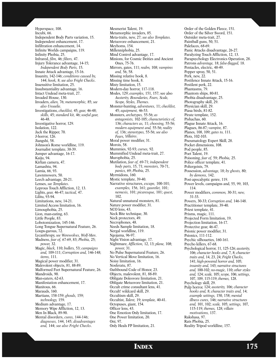Hyperspace, 108. Incubi, 66. Independent Body Parts variation, 15. Independent enhancement, 17. Infiltration enhancement, 14. Infinite Worlds campaigns, 119. Infinity Phobia, 25. Infrared, *film,* 46; *filters,* 47. Injury Tolerance advantage, 14-15; *Independent Body Parts,* 15. Innate Attack advantage, 15-16. Insanity, 142-146; *conditions caused by,* 144; *hook,* 8; *see also Fright Checks*. Insensitive limitation, 25. Insubstantiality advantage, 16. Intact Undead meta-trait, 27. Invaded House, 130. Invaders, *alien,* 76; *metamorphic,* 85; *see also Unseelie*. Investigations, *checklist,* 45; *gear,* 46-48; *skills,* 45; *standard kit,* 46; *useful gear,* 46-48. Investigative horror, 129. Isolation, 122. Jack the Ripper, 70. J-horror, 126. Jiangshi, 58. Johnson's Rome worldline, 119. Journalist template, 38-39. Jumper advantage, 16-17. Kaiju, 94. Kirlian camera, 47. Lamashtu, 94. Lamia, 66, 93. Lawnmowers, 50. Leech advantage, 20-21. Lenses, *see Templates*. Leprous Touch Affliction, 12, 13. Lights, *gear,* 46-47; *tactical,* 47. Lilitu, 93-94. Limitations, new, 14-21. Limited Access limitation, 16. Limouphobia, 25. Lion, man-eating, 63. Little People, 83. Lobotomization, 145-146. Long Tongue Supernatural Feature, 26. Loups-garous, 72. Lycanthropy, *see Werewolves, Wolf-Men*. Madness, *fear of,* 67-69, 83; *Phobia,* 25; *power,* 32. Magic, *black,* 110; *bullets,* 53; *campaigns and,* 109-111; *Corruption and,* 146-148; *items,* 111. Magical power modifier, 31. Malevolent objects, 81, 88-89. Malformed Feet Supernatural Feature, 26. Mandroids, 90. Man-eaters, 62-63. Manifestation enhancement, 17. Manitous, 66. Marauds, 160. Martians, 158-159; *ghouls,* 159; *technology,* 159. Medium advantage, 17. Memory Wipe Affliction, 12, 13. Men In Black, 89-90. Mental disorders, *cures,* 144-146; *diagnoses,* 144, 145; *disadvantages and,* 144; *see also Fright Checks*.

Mesmerist Talent, 19. Metamorphic invaders, 85. Meta-traits, new, 27; *see also Templates.* Metuovore enhancement, 21. Meyhoms, 154. Millenniphobia, 25. Mind Control advantage, 17. Minions, for Cosmic Deities and Ancient Ones, 75-76. Mirrors, gates, 111; *realm,* 108; *vampires and,* 56, 58. Missing relative hook, 8. Missing time hook, 8. Misty limitation, 15. Modern-day horror, 117-118. Modes, 129; *examples,* 151, 157; see also *Austerity, Boundaries, Fears, Scale, Scope, Styles, Themes*. Monster-hunting, *adventures,* 11; *checklist,* 45; *equipment,* 46-53. Monsters, *archetypes,* 55-56; *as antagonists,* 102-105; *characteristics of,* 136; *characters as,* 11; *choosing,* 55-56; *modern equipment and,* 55-56; *reality of,* 136; *stereotypes,* 55-56; *see also Fears, Villains*. Moral power modifier, 31. Morois, 58. Mummies, 92-93; *curses,* 92. Mummified Undead meta-trait, 27. Murophobia, 25. Mutilation, *fear of,* 69-71; *independent body parts,* 15, 71; *monsters,* 70-71, *panics,* 69; *Phobia,* 25. Myrmidons, 160. Mystic template, 39-40. Narrative structures, *escape,* 100-101; *examples,* 156, 161; *gauntlet,* 101; *nemesis,* 101; *picaresque,* 101; *quest,* 102. Natural unnatural monsters, 81. Nature power modifier, 31. NCO lens, 43. Neck Bite technique, 30. Neck protectors, 49. Necrophones, 48. Needs Sample limitation, 18. Nergal worldline, 119. Ngojama, 96-97. Night Vision advantage, 17. Nightmare, *Affliction,* 12, 13; *plane,* 108; *power,* 31. No Pulse Supernatural Feature, 26. No Vertical Move limitation, 16. Noisy limitation, 16. Nosferatu, 87. Oathbound Code of Honor, 23. Objects, malevolent, 81, 88-89. Obligate Doleovore limitation, 21. Obligate Metuovore limitation, 21. Occult crime consultant lens, 41. Occult! wildcard skill, 29. Occultism skill, 29. Occultist, *Talent,* 19; *template,* 40-41. Octopuses, giant, 154. Officer lens, 43. One Emotion Only limitation, 17. One Power limitation, 20. Oni, 97. Only Heals FP limitation, 21.

Order of the Golden Fleece, 151. Order of the Silver Sword, 151. Outsider meta-trait, 27. Paintball guns, 50, 51. Palefaces, 68-69. Panic Attacks disadvantage, 26-27. Paralyzing Touch Affliction, 12, 13. Parapsychology Electronics Operation, 28. Patrons *advantage,* 18; *false-flagged,* 18. Pentacles, electric, 48-49. Pepper spray, 50, 51. Perk, new, 22. Pestilence Innate Attack, 15-16. Pestilent perk, 22. Phantasms, 79. Phantom ships, 80-81. Phobia disadvantage, 25. Photography skill, 29. Physician skill, 29. Piasa birds, 81-82. Pirate template, 152. Pishachas, 60. Plague Innate Attack, 16. Plagues, 86-87; *vampire,* 87. Planes, 108, 109; *gates to,* 111. Plots, 102-103. Pneumatology Expert Skill, 28. Pocket dimensions, 108. Pod people, 85. Poet Talent, 19. Poisoning, *fear of,* 59; *Phobia,* 25. Police officer template, 41. Poltergeists, 79. Possession, *advantage,* 18; *by ghosts,* 80; *by demons,* 142. Post-apocalyptic genre, 119. Power levels, campaigns and, 55, 99, 103, 114. Power modifiers, *common,* 30-31; *new,* 31-33. Powers, 30-33; *Corruption and,* 146-148. Practitioner template, 39-40. Priest template, 41. Prisms, magic, 111. Projected Form limitation, 19. Projection limitation, 16-17. Protective gear, 46-47. Psionic power modifier, 31. Psionics, 111-112. Psychic silhouettes, 160-161. Psycho killers, 67-68. Psychological horror, 11, 125-126; *austerity,* 106; *character hooks and,* 7, 8; *character traits and,* 14, 23, 24; *Fright Checks,* 141; *high-powered horror and,* 105; *insanity and,* 143; *narrative structures and,* 100-102; *no-magic,* 110; *other styles and,* 124; *scale,* 105; *scope,* 106; *settings,* 107, 109, 115-119; *themes,* 128. Psychology skill, 29. Pulp horror, 124; *austerity,* 106; *character hooks and,* 8; *character traits and,* 14; *example settings,* 150, 158; *mental illness cures,* 146; *narrative structures and,* 101, 102; *scale,* 105; *settings,* 107, 115-119; *themes,* 128; *villain motivations,* 137. Rakshasa, 97. Rats Phobia, 25. Reality Tripod worldline, 157.